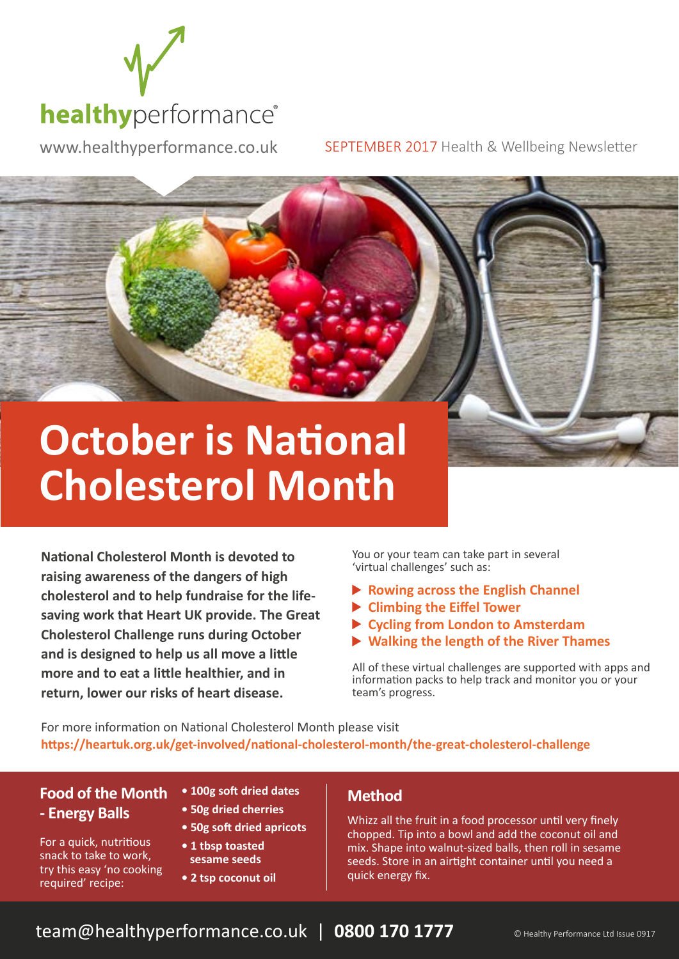

www.healthyperformance.co.uk SEPTEMBER 2017 Health & Wellbeing Newsletter

# **October is National Cholesterol Month**

**National Cholesterol Month is devoted to raising awareness of the dangers of high cholesterol and to help fundraise for the lifesaving work that Heart UK provide. The Great Cholesterol Challenge runs during October and is designed to help us all move a little more and to eat a little healthier, and in return, lower our risks of heart disease.** 

You or your team can take part in several 'virtual challenges' such as:

- **Rowing across the English Channel**
- **Climbing the Eiffel Tower**
- **Cycling from London to Amsterdam**
- **Walking the length of the River Thames**

All of these virtual challenges are supported with apps and information packs to help track and monitor you or your team's progress.

For more information on National Cholesterol Month please visit **https://heartuk.org.uk/get-involved/national-cholesterol-month/the-great-cholesterol-challenge**

### **Food of the Month - Energy Balls**

For a quick, nutritious snack to take to work, try this easy 'no cooking

required' recipe:

**• 100g soft dried dates**

- **50g dried cherries**
- **50g soft dried apricots**
- **1 tbsp toasted sesame seeds**
- **2 tsp coconut oil**

#### **Method**

Whizz all the fruit in a food processor until very finely chopped. Tip into a bowl and add the coconut oil and mix. Shape into walnut-sized balls, then roll in sesame seeds. Store in an airtight container until you need a quick energy fix.

### team@healthyperformance.co.uk | 0800 170 1777 **CHealthy Performance Ltd Issue 0917**